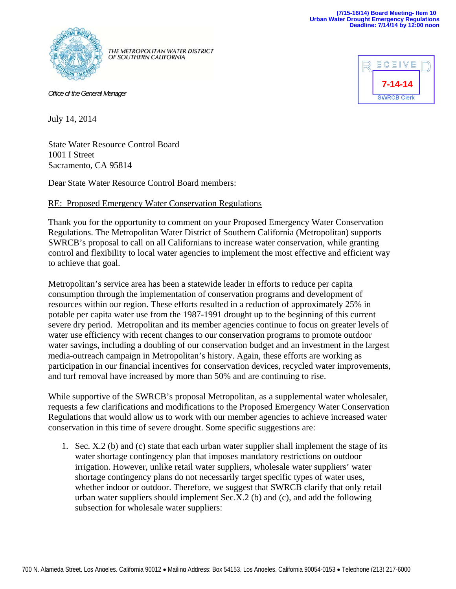

THE METROPOLITAN WATER DISTRICT OF SOUTHERN CALIFORNIA

*Office of the General Manager*



July 14, 2014

State Water Resource Control Board 1001 I Street Sacramento, CA 95814

Dear State Water Resource Control Board members:

## RE: Proposed Emergency Water Conservation Regulations

Thank you for the opportunity to comment on your Proposed Emergency Water Conservation Regulations. The Metropolitan Water District of Southern California (Metropolitan) supports SWRCB's proposal to call on all Californians to increase water conservation, while granting control and flexibility to local water agencies to implement the most effective and efficient way to achieve that goal.

Metropolitan's service area has been a statewide leader in efforts to reduce per capita consumption through the implementation of conservation programs and development of resources within our region. These efforts resulted in a reduction of approximately 25% in potable per capita water use from the 1987-1991 drought up to the beginning of this current severe dry period. Metropolitan and its member agencies continue to focus on greater levels of water use efficiency with recent changes to our conservation programs to promote outdoor water savings, including a doubling of our conservation budget and an investment in the largest media-outreach campaign in Metropolitan's history. Again, these efforts are working as participation in our financial incentives for conservation devices, recycled water improvements, and turf removal have increased by more than 50% and are continuing to rise.

While supportive of the SWRCB's proposal Metropolitan, as a supplemental water wholesaler, requests a few clarifications and modifications to the Proposed Emergency Water Conservation Regulations that would allow us to work with our member agencies to achieve increased water conservation in this time of severe drought. Some specific suggestions are:

1. Sec. X.2 (b) and (c) state that each urban water supplier shall implement the stage of its water shortage contingency plan that imposes mandatory restrictions on outdoor irrigation. However, unlike retail water suppliers, wholesale water suppliers' water shortage contingency plans do not necessarily target specific types of water uses, whether indoor or outdoor. Therefore, we suggest that SWRCB clarify that only retail urban water suppliers should implement Sec.X.2 (b) and (c), and add the following subsection for wholesale water suppliers: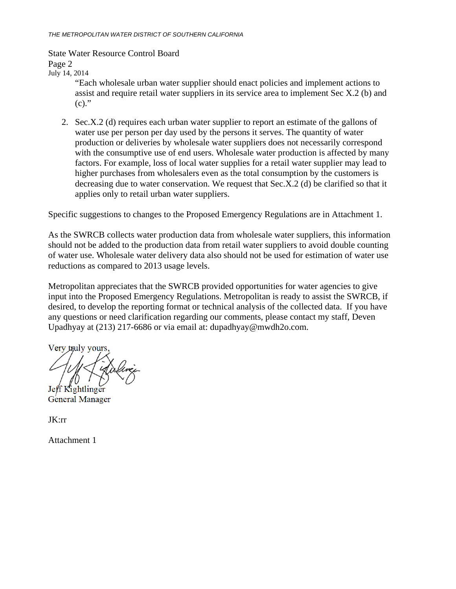## State Water Resource Control Board

Page 2

July 14, 2014

"Each wholesale urban water supplier should enact policies and implement actions to assist and require retail water suppliers in its service area to implement Sec X.2 (b) and  $(c)$ ."

2. Sec.X.2 (d) requires each urban water supplier to report an estimate of the gallons of water use per person per day used by the persons it serves. The quantity of water production or deliveries by wholesale water suppliers does not necessarily correspond with the consumptive use of end users. Wholesale water production is affected by many factors. For example, loss of local water supplies for a retail water supplier may lead to higher purchases from wholesalers even as the total consumption by the customers is decreasing due to water conservation. We request that Sec.X.2 (d) be clarified so that it applies only to retail urban water suppliers.

Specific suggestions to changes to the Proposed Emergency Regulations are in Attachment 1.

As the SWRCB collects water production data from wholesale water suppliers, this information should not be added to the production data from retail water suppliers to avoid double counting of water use. Wholesale water delivery data also should not be used for estimation of water use reductions as compared to 2013 usage levels.

Metropolitan appreciates that the SWRCB provided opportunities for water agencies to give input into the Proposed Emergency Regulations. Metropolitan is ready to assist the SWRCB, if desired, to develop the reporting format or technical analysis of the collected data. If you have any questions or need clarification regarding our comments, please contact my staff, Deven Upadhyay at (213) 217-6686 or via email at: dupadhyay@mwdh2o.com.

Very truly yours, Jeff Kightlinger

General Manager

JK:rr

Attachment 1